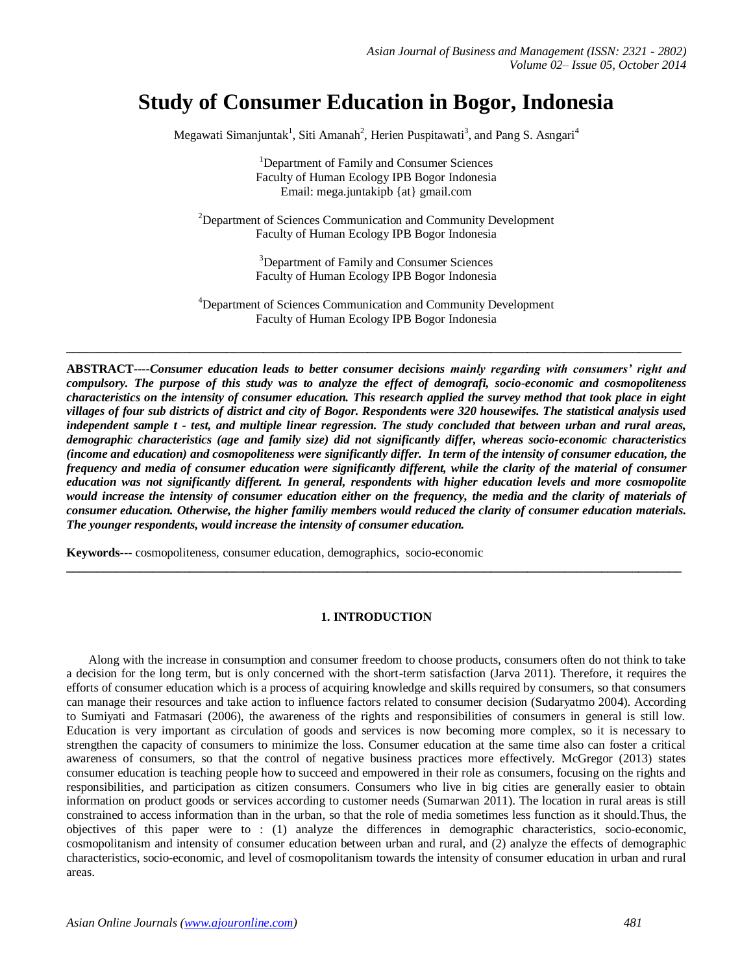# **Study of Consumer Education in Bogor, Indonesia**

Megawati Simanjuntak<sup>1</sup>, Siti Amanah<sup>2</sup>, Herien Puspitawati<sup>3</sup>, and Pang S. Asngari<sup>4</sup>

<sup>1</sup>Department of Family and Consumer Sciences Faculty of Human Ecology IPB Bogor Indonesia Email: [mega.juntakipb](mailto:mega.juntakipb@gmail.com) {at} gmail.com

 $2$ Department of Sciences Communication and Community Development Faculty of Human Ecology IPB Bogor Indonesia

> <sup>3</sup>Department of Family and Consumer Sciences Faculty of Human Ecology IPB Bogor Indonesia

<sup>4</sup>Department of Sciences Communication and Community Development Faculty of Human Ecology IPB Bogor Indonesia

**\_\_\_\_\_\_\_\_\_\_\_\_\_\_\_\_\_\_\_\_\_\_\_\_\_\_\_\_\_\_\_\_\_\_\_\_\_\_\_\_\_\_\_\_\_\_\_\_\_\_\_\_\_\_\_\_\_\_\_\_\_\_\_\_\_\_\_\_\_\_\_\_\_\_\_\_\_\_\_\_\_\_\_\_\_\_\_\_\_\_\_\_\_\_\_\_\_\_\_\_**

**ABSTRACT----***Consumer education leads to better consumer decisions mainly regarding with consumers' right and compulsory. The purpose of this study was to analyze the effect of demografi, socio-economic and cosmopoliteness characteristics on the intensity of consumer education. This research applied the survey method that took place in eight villages of four sub districts of district and city of Bogor. Respondents were 320 housewifes. The statistical analysis used independent sample t - test, and multiple linear regression. The study concluded that between urban and rural areas, demographic characteristics (age and family size) did not significantly differ, whereas socio-economic characteristics (income and education) and cosmopoliteness were significantly differ. In term of the intensity of consumer education, the frequency and media of consumer education were significantly different, while the clarity of the material of consumer education was not significantly different. In general, respondents with higher education levels and more cosmopolite would increase the intensity of consumer education either on the frequency, the media and the clarity of materials of consumer education. Otherwise, the higher familiy members would reduced the clarity of consumer education materials. The younger respondents, would increase the intensity of consumer education.*

**Keywords***---* cosmopoliteness, consumer education, demographics, socio-economic

# **1. INTRODUCTION**

**\_\_\_\_\_\_\_\_\_\_\_\_\_\_\_\_\_\_\_\_\_\_\_\_\_\_\_\_\_\_\_\_\_\_\_\_\_\_\_\_\_\_\_\_\_\_\_\_\_\_\_\_\_\_\_\_\_\_\_\_\_\_\_\_\_\_\_\_\_\_\_\_\_\_\_\_\_\_\_\_\_\_\_\_\_\_\_\_\_\_\_\_\_\_\_\_\_\_\_\_**

Along with the increase in consumption and consumer freedom to choose products, consumers often do not think to take a decision for the long term, but is only concerned with the short-term satisfaction (Jarva 2011). Therefore, it requires the efforts of consumer education which is a process of acquiring knowledge and skills required by consumers, so that consumers can manage their resources and take action to influence factors related to consumer decision (Sudaryatmo 2004). According to Sumiyati and Fatmasari (2006), the awareness of the rights and responsibilities of consumers in general is still low. Education is very important as circulation of goods and services is now becoming more complex, so it is necessary to strengthen the capacity of consumers to minimize the loss. Consumer education at the same time also can foster a critical awareness of consumers, so that the control of negative business practices more effectively. McGregor (2013) states consumer education is teaching people how to succeed and empowered in their role as consumers, focusing on the rights and responsibilities, and participation as citizen consumers. Consumers who live in big cities are generally easier to obtain information on product goods or services according to customer needs (Sumarwan 2011). The location in rural areas is still constrained to access information than in the urban, so that the role of media sometimes less function as it should.Thus, the objectives of this paper were to : (1) analyze the differences in demographic characteristics, socio-economic, cosmopolitanism and intensity of consumer education between urban and rural, and (2) analyze the effects of demographic characteristics, socio-economic, and level of cosmopolitanism towards the intensity of consumer education in urban and rural areas.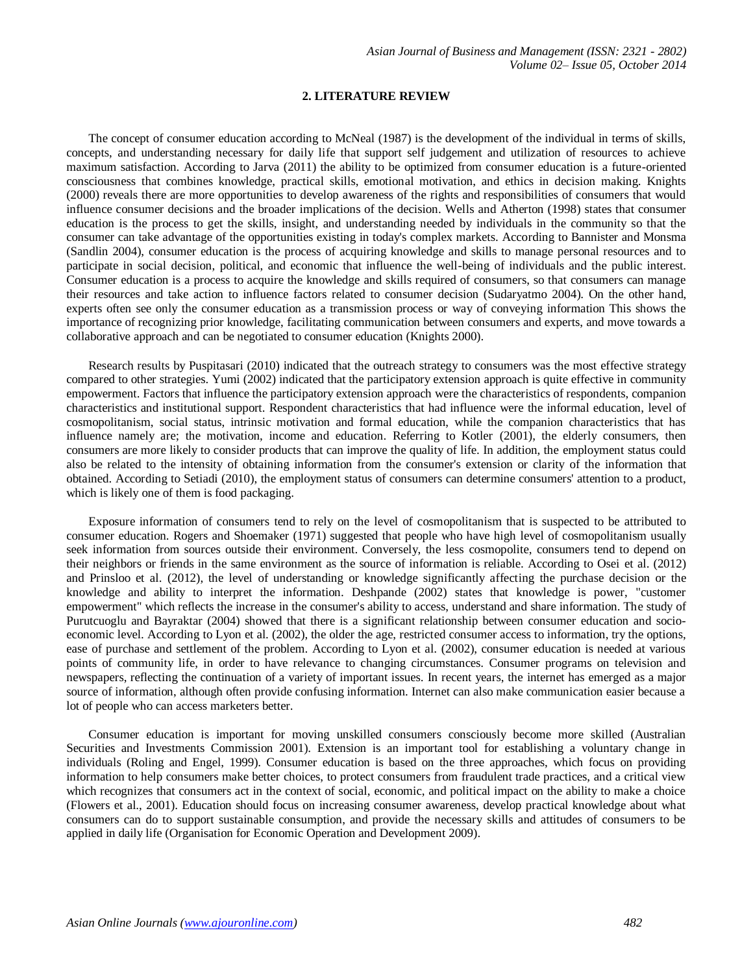# **2. LITERATURE REVIEW**

The concept of consumer education according to McNeal (1987) is the development of the individual in terms of skills, concepts, and understanding necessary for daily life that support self judgement and utilization of resources to achieve maximum satisfaction. According to Jarva (2011) the ability to be optimized from consumer education is a future-oriented consciousness that combines knowledge, practical skills, emotional motivation, and ethics in decision making. Knights (2000) reveals there are more opportunities to develop awareness of the rights and responsibilities of consumers that would influence consumer decisions and the broader implications of the decision. Wells and Atherton (1998) states that consumer education is the process to get the skills, insight, and understanding needed by individuals in the community so that the consumer can take advantage of the opportunities existing in today's complex markets. According to Bannister and Monsma (Sandlin 2004), consumer education is the process of acquiring knowledge and skills to manage personal resources and to participate in social decision, political, and economic that influence the well-being of individuals and the public interest. Consumer education is a process to acquire the knowledge and skills required of consumers, so that consumers can manage their resources and take action to influence factors related to consumer decision (Sudaryatmo 2004). On the other hand, experts often see only the consumer education as a transmission process or way of conveying information This shows the importance of recognizing prior knowledge, facilitating communication between consumers and experts, and move towards a collaborative approach and can be negotiated to consumer education (Knights 2000).

Research results by Puspitasari (2010) indicated that the outreach strategy to consumers was the most effective strategy compared to other strategies. Yumi (2002) indicated that the participatory extension approach is quite effective in community empowerment. Factors that influence the participatory extension approach were the characteristics of respondents, companion characteristics and institutional support. Respondent characteristics that had influence were the informal education, level of cosmopolitanism, social status, intrinsic motivation and formal education, while the companion characteristics that has influence namely are; the motivation, income and education. Referring to Kotler (2001), the elderly consumers, then consumers are more likely to consider products that can improve the quality of life. In addition, the employment status could also be related to the intensity of obtaining information from the consumer's extension or clarity of the information that obtained. According to Setiadi (2010), the employment status of consumers can determine consumers' attention to a product, which is likely one of them is food packaging.

Exposure information of consumers tend to rely on the level of cosmopolitanism that is suspected to be attributed to consumer education. Rogers and Shoemaker (1971) suggested that people who have high level of cosmopolitanism usually seek information from sources outside their environment. Conversely, the less cosmopolite, consumers tend to depend on their neighbors or friends in the same environment as the source of information is reliable. According to Osei et al. (2012) and Prinsloo et al. (2012), the level of understanding or knowledge significantly affecting the purchase decision or the knowledge and ability to interpret the information. Deshpande (2002) states that knowledge is power, "customer empowerment" which reflects the increase in the consumer's ability to access, understand and share information. The study of Purutcuoglu and Bayraktar (2004) showed that there is a significant relationship between consumer education and socioeconomic level. According to Lyon et al. (2002), the older the age, restricted consumer access to information, try the options, ease of purchase and settlement of the problem. According to Lyon et al. (2002), consumer education is needed at various points of community life, in order to have relevance to changing circumstances. Consumer programs on television and newspapers, reflecting the continuation of a variety of important issues. In recent years, the internet has emerged as a major source of information, although often provide confusing information. Internet can also make communication easier because a lot of people who can access marketers better.

Consumer education is important for moving unskilled consumers consciously become more skilled (Australian Securities and Investments Commission 2001). Extension is an important tool for establishing a voluntary change in individuals (Roling and Engel, 1999). Consumer education is based on the three approaches, which focus on providing information to help consumers make better choices, to protect consumers from fraudulent trade practices, and a critical view which recognizes that consumers act in the context of social, economic, and political impact on the ability to make a choice (Flowers et al., 2001). Education should focus on increasing consumer awareness, develop practical knowledge about what consumers can do to support sustainable consumption, and provide the necessary skills and attitudes of consumers to be applied in daily life (Organisation for Economic Operation and Development 2009).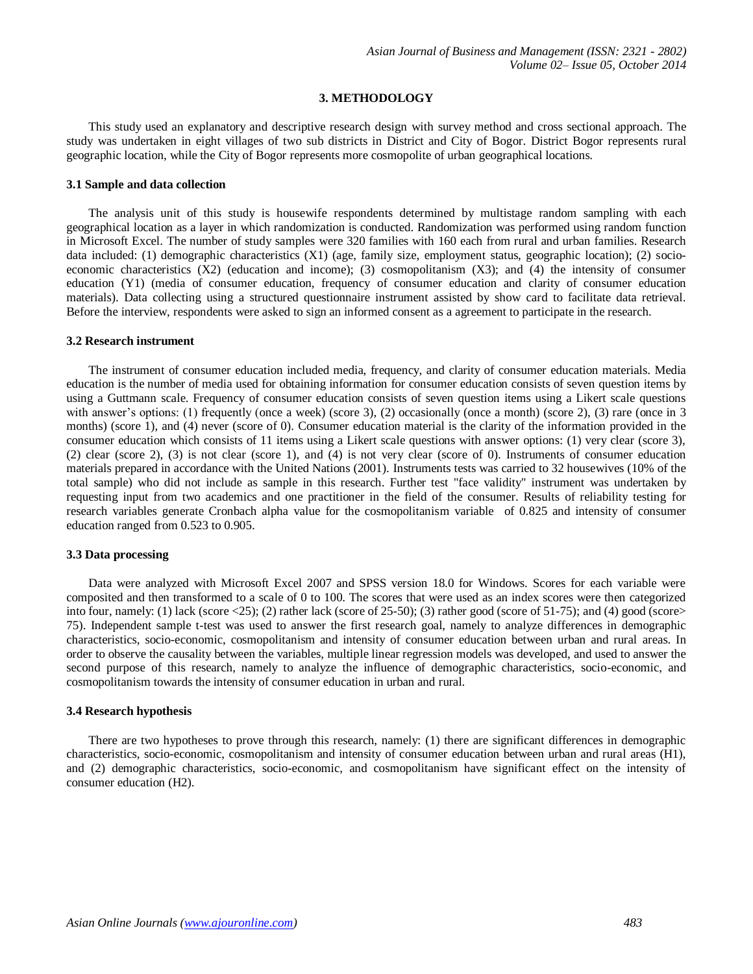# **3. METHODOLOGY**

This study used an explanatory and descriptive research design with survey method and cross sectional approach. The study was undertaken in eight villages of two sub districts in District and City of Bogor. District Bogor represents rural geographic location, while the City of Bogor represents more cosmopolite of urban geographical locations.

### **3.1 Sample and data collection**

The analysis unit of this study is housewife respondents determined by multistage random sampling with each geographical location as a layer in which randomization is conducted. Randomization was performed using random function in Microsoft Excel. The number of study samples were 320 families with 160 each from rural and urban families. Research data included: (1) demographic characteristics (X1) (age, family size, employment status, geographic location); (2) socioeconomic characteristics  $(X2)$  (education and income); (3) cosmopolitanism  $(X3)$ ; and (4) the intensity of consumer education (Y1) (media of consumer education, frequency of consumer education and clarity of consumer education materials). Data collecting using a structured questionnaire instrument assisted by show card to facilitate data retrieval. Before the interview, respondents were asked to sign an informed consent as a agreement to participate in the research.

#### **3.2 Research instrument**

The instrument of consumer education included media, frequency, and clarity of consumer education materials. Media education is the number of media used for obtaining information for consumer education consists of seven question items by using a Guttmann scale. Frequency of consumer education consists of seven question items using a Likert scale questions with answer's options: (1) frequently (once a week) (score 3), (2) occasionally (once a month) (score 2), (3) rare (once in 3 months) (score 1), and (4) never (score of 0). Consumer education material is the clarity of the information provided in the consumer education which consists of 11 items using a Likert scale questions with answer options: (1) very clear (score 3), (2) clear (score 2), (3) is not clear (score 1), and (4) is not very clear (score of 0). Instruments of consumer education materials prepared in accordance with the United Nations (2001). Instruments tests was carried to 32 housewives (10% of the total sample) who did not include as sample in this research. Further test "face validity" instrument was undertaken by requesting input from two academics and one practitioner in the field of the consumer. Results of reliability testing for research variables generate Cronbach alpha value for the cosmopolitanism variable of 0.825 and intensity of consumer education ranged from 0.523 to 0.905.

## **3.3 Data processing**

Data were analyzed with Microsoft Excel 2007 and SPSS version 18.0 for Windows. Scores for each variable were composited and then transformed to a scale of 0 to 100. The scores that were used as an index scores were then categorized into four, namely: (1) lack (score  $\langle 25 \rangle$ ; (2) rather lack (score of 25-50); (3) rather good (score of 51-75); and (4) good (score> 75). Independent sample t-test was used to answer the first research goal, namely to analyze differences in demographic characteristics, socio-economic, cosmopolitanism and intensity of consumer education between urban and rural areas. In order to observe the causality between the variables, multiple linear regression models was developed, and used to answer the second purpose of this research, namely to analyze the influence of demographic characteristics, socio-economic, and cosmopolitanism towards the intensity of consumer education in urban and rural.

# **3.4 Research hypothesis**

There are two hypotheses to prove through this research, namely: (1) there are significant differences in demographic characteristics, socio-economic, cosmopolitanism and intensity of consumer education between urban and rural areas (H1), and (2) demographic characteristics, socio-economic, and cosmopolitanism have significant effect on the intensity of consumer education (H2).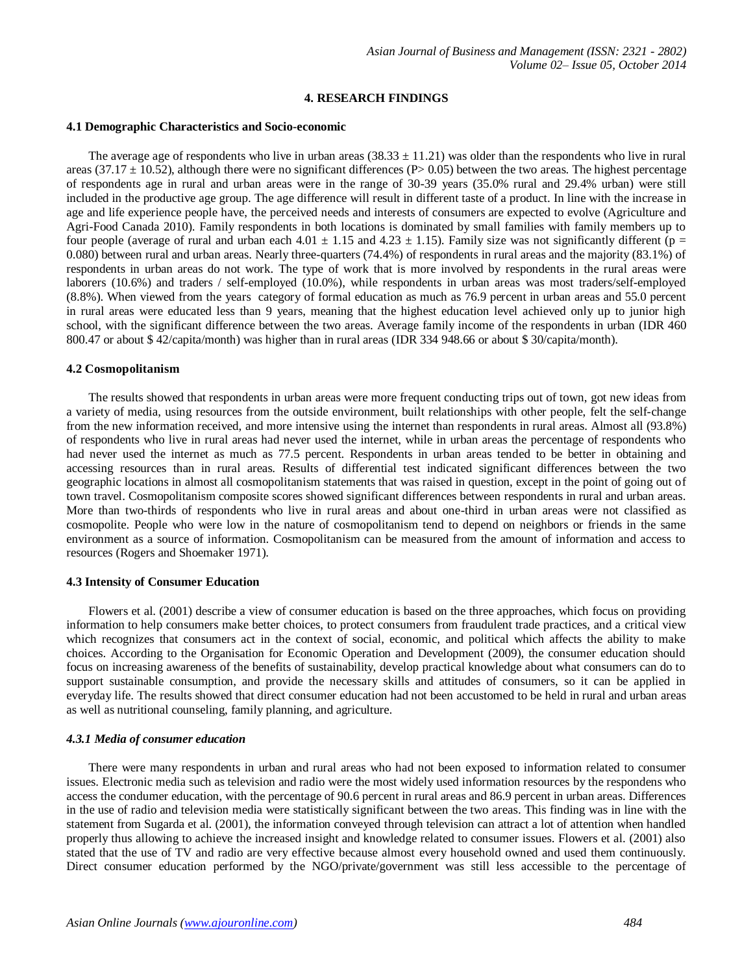# **4. RESEARCH FINDINGS**

#### **4.1 Demographic Characteristics and Socio-economic**

The average age of respondents who live in urban areas  $(38.33 \pm 11.21)$  was older than the respondents who live in rural areas (37.17  $\pm$  10.52), although there were no significant differences (P> 0.05) between the two areas. The highest percentage of respondents age in rural and urban areas were in the range of 30-39 years (35.0% rural and 29.4% urban) were still included in the productive age group. The age difference will result in different taste of a product. In line with the increase in age and life experience people have, the perceived needs and interests of consumers are expected to evolve (Agriculture and Agri-Food Canada 2010). Family respondents in both locations is dominated by small families with family members up to four people (average of rural and urban each  $4.01 \pm 1.15$  and  $4.23 \pm 1.15$ ). Family size was not significantly different (p = 0.080) between rural and urban areas. Nearly three-quarters (74.4%) of respondents in rural areas and the majority (83.1%) of respondents in urban areas do not work. The type of work that is more involved by respondents in the rural areas were laborers (10.6%) and traders / self-employed (10.0%), while respondents in urban areas was most traders/self-employed (8.8%). When viewed from the years category of formal education as much as 76.9 percent in urban areas and 55.0 percent in rural areas were educated less than 9 years, meaning that the highest education level achieved only up to junior high school, with the significant difference between the two areas. Average family income of the respondents in urban (IDR 460 800.47 or about \$ 42/capita/month) was higher than in rural areas (IDR 334 948.66 or about \$ 30/capita/month).

#### **4.2 Cosmopolitanism**

The results showed that respondents in urban areas were more frequent conducting trips out of town, got new ideas from a variety of media, using resources from the outside environment, built relationships with other people, felt the self-change from the new information received, and more intensive using the internet than respondents in rural areas. Almost all (93.8%) of respondents who live in rural areas had never used the internet, while in urban areas the percentage of respondents who had never used the internet as much as 77.5 percent. Respondents in urban areas tended to be better in obtaining and accessing resources than in rural areas. Results of differential test indicated significant differences between the two geographic locations in almost all cosmopolitanism statements that was raised in question, except in the point of going out of town travel. Cosmopolitanism composite scores showed significant differences between respondents in rural and urban areas. More than two-thirds of respondents who live in rural areas and about one-third in urban areas were not classified as cosmopolite. People who were low in the nature of cosmopolitanism tend to depend on neighbors or friends in the same environment as a source of information. Cosmopolitanism can be measured from the amount of information and access to resources (Rogers and Shoemaker 1971).

# **4.3 Intensity of Consumer Education**

Flowers et al. (2001) describe a view of consumer education is based on the three approaches, which focus on providing information to help consumers make better choices, to protect consumers from fraudulent trade practices, and a critical view which recognizes that consumers act in the context of social, economic, and political which affects the ability to make choices. According to the Organisation for Economic Operation and Development (2009), the consumer education should focus on increasing awareness of the benefits of sustainability, develop practical knowledge about what consumers can do to support sustainable consumption, and provide the necessary skills and attitudes of consumers, so it can be applied in everyday life. The results showed that direct consumer education had not been accustomed to be held in rural and urban areas as well as nutritional counseling, family planning, and agriculture.

#### *4.3.1 Media of consumer education*

There were many respondents in urban and rural areas who had not been exposed to information related to consumer issues. Electronic media such as television and radio were the most widely used information resources by the respondens who access the condumer education, with the percentage of 90.6 percent in rural areas and 86.9 percent in urban areas. Differences in the use of radio and television media were statistically significant between the two areas. This finding was in line with the statement from Sugarda et al. (2001), the information conveyed through television can attract a lot of attention when handled properly thus allowing to achieve the increased insight and knowledge related to consumer issues. Flowers et al. (2001) also stated that the use of TV and radio are very effective because almost every household owned and used them continuously. Direct consumer education performed by the NGO/private/government was still less accessible to the percentage of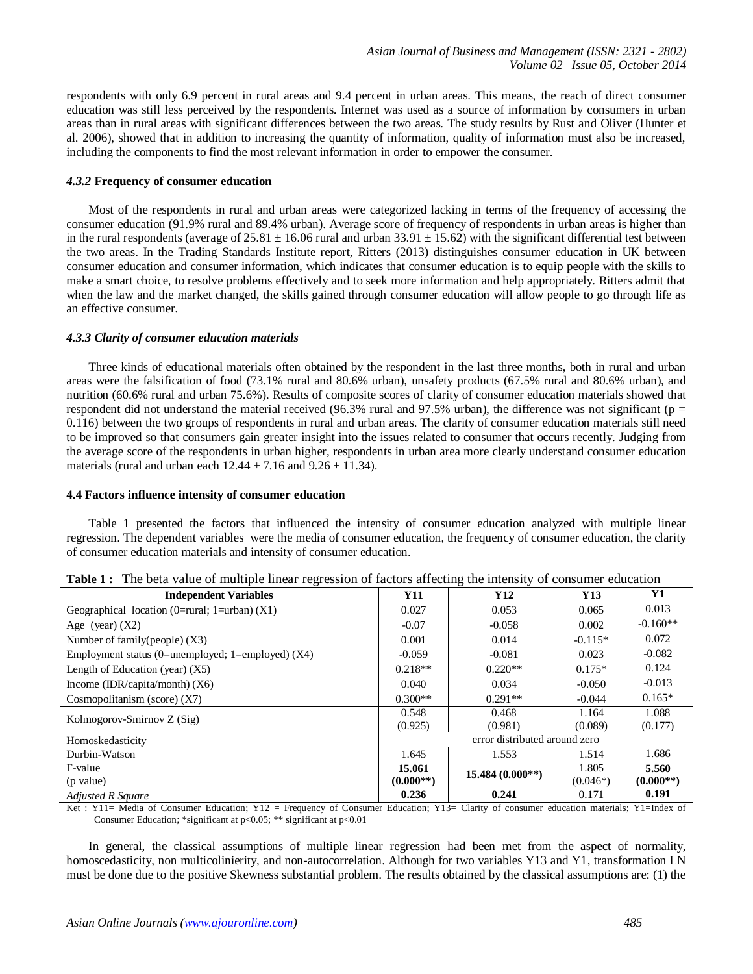respondents with only 6.9 percent in rural areas and 9.4 percent in urban areas. This means, the reach of direct consumer education was still less perceived by the respondents. Internet was used as a source of information by consumers in urban areas than in rural areas with significant differences between the two areas. The study results by Rust and Oliver (Hunter et al. 2006), showed that in addition to increasing the quantity of information, quality of information must also be increased, including the components to find the most relevant information in order to empower the consumer.

## *4.3.2* **Frequency of consumer education**

Most of the respondents in rural and urban areas were categorized lacking in terms of the frequency of accessing the consumer education (91.9% rural and 89.4% urban). Average score of frequency of respondents in urban areas is higher than in the rural respondents (average of  $25.81 \pm 16.06$  rural and urban  $33.91 \pm 15.62$ ) with the significant differential test between the two areas. In the Trading Standards Institute report, Ritters (2013) distinguishes consumer education in UK between consumer education and consumer information, which indicates that consumer education is to equip people with the skills to make a smart choice, to resolve problems effectively and to seek more information and help appropriately. Ritters admit that when the law and the market changed, the skills gained through consumer education will allow people to go through life as an effective consumer.

# *4.3.3 Clarity of consumer education materials*

Three kinds of educational materials often obtained by the respondent in the last three months, both in rural and urban areas were the falsification of food (73.1% rural and 80.6% urban), unsafety products (67.5% rural and 80.6% urban), and nutrition (60.6% rural and urban 75.6%). Results of composite scores of clarity of consumer education materials showed that respondent did not understand the material received (96.3% rural and 97.5% urban), the difference was not significant ( $p =$ 0.116) between the two groups of respondents in rural and urban areas. The clarity of consumer education materials still need to be improved so that consumers gain greater insight into the issues related to consumer that occurs recently. Judging from the average score of the respondents in urban higher, respondents in urban area more clearly understand consumer education materials (rural and urban each  $12.44 \pm 7.16$  and  $9.26 \pm 11.34$ ).

## **4.4 Factors influence intensity of consumer education**

Table 1 presented the factors that influenced the intensity of consumer education analyzed with multiple linear regression. The dependent variables were the media of consumer education, the frequency of consumer education, the clarity of consumer education materials and intensity of consumer education.

| <b>Independent Variables</b>                        | <b>Y11</b>                    | Y <sub>12</sub>  | Y13        | Y1          |  |
|-----------------------------------------------------|-------------------------------|------------------|------------|-------------|--|
| Geographical location (0=rural; 1=urban) $(X1)$     | 0.027                         | 0.053            | 0.065      | 0.013       |  |
| Age (year) $(X2)$                                   | $-0.07$                       | $-0.058$         | 0.002      | $-0.160**$  |  |
| Number of family(people) (X3)                       | 0.001                         | 0.014            | $-0.115*$  | 0.072       |  |
| Employment status (0=unemployed; 1=employed) $(X4)$ | $-0.059$                      | $-0.081$         | 0.023      | $-0.082$    |  |
| Length of Education (year) $(X5)$                   | $0.218**$                     | $0.220**$        | $0.175*$   | 0.124       |  |
| Income (IDR/capita/month) $(X6)$                    | 0.040                         | 0.034            | $-0.050$   | $-0.013$    |  |
| Cosmopolitanism (score) $(X7)$                      | $0.300**$                     | $0.291**$        | $-0.044$   | $0.165*$    |  |
| Kolmogorov-Smirnov Z (Sig)                          | 0.548                         | 0.468            | 1.164      | 1.088       |  |
|                                                     | (0.925)                       | (0.981)          | (0.089)    | (0.177)     |  |
| Homoskedasticity                                    | error distributed around zero |                  |            |             |  |
| Durbin-Watson                                       | 1.645                         | 1.553            | 1.514      | 1.686       |  |
| F-value                                             | 15.061                        | 15.484 (0.000**) | 1.805      | 5.560       |  |
| (p value)                                           | $(0.000**)$                   |                  | $(0.046*)$ | $(0.000**)$ |  |
| <b>Adjusted R Square</b>                            | 0.236                         | 0.241            | 0.171      | 0.191       |  |

|  |  |  |  |  |  |  |  | <b>Table 1:</b> The beta value of multiple linear regression of factors affecting the intensity of consumer education |  |
|--|--|--|--|--|--|--|--|-----------------------------------------------------------------------------------------------------------------------|--|
|--|--|--|--|--|--|--|--|-----------------------------------------------------------------------------------------------------------------------|--|

Ket : Y11= Media of Consumer Education; Y12 = Frequency of Consumer Education; Y13= Clarity of consumer education materials; Y1=Index of Consumer Education; \*significant at p<0.05; \*\* significant at p<0.01

In general, the classical assumptions of multiple linear regression had been met from the aspect of normality, homoscedasticity, non multicolinierity, and non-autocorrelation. Although for two variables Y13 and Y1, transformation LN must be done due to the positive Skewness substantial problem. The results obtained by the classical assumptions are: (1) the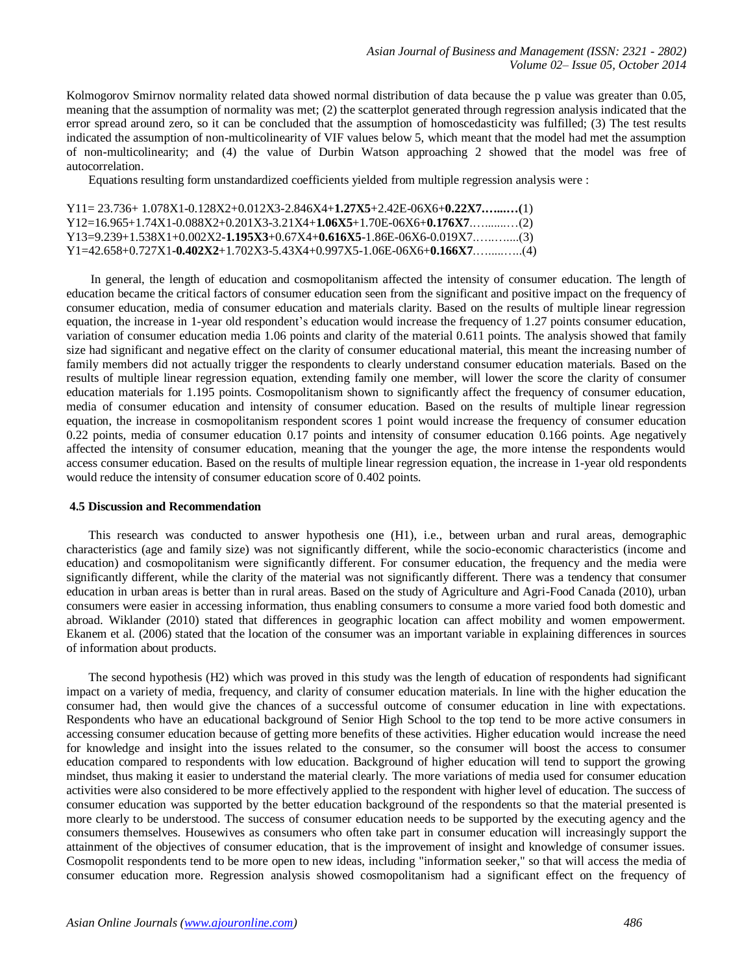Kolmogorov Smirnov normality related data showed normal distribution of data because the p value was greater than 0.05, meaning that the assumption of normality was met; (2) the scatterplot generated through regression analysis indicated that the error spread around zero, so it can be concluded that the assumption of homoscedasticity was fulfilled; (3) The test results indicated the assumption of non-multicolinearity of VIF values below 5, which meant that the model had met the assumption of non-multicolinearity; and (4) the value of Durbin Watson approaching 2 showed that the model was free of autocorrelation.

Equations resulting form unstandardized coefficients yielded from multiple regression analysis were :

| $Y11 = 23.736 + 1.078X1 - 0.128X2 + 0.012X3 - 2.846X4 + 1.27X5 + 2.42E - 06X6 + 0.22X7$ (1) |  |
|---------------------------------------------------------------------------------------------|--|
| $Y12=16.965+1.74X1-0.088X2+0.201X3-3.21X4+1.06X5+1.70E-06X6+0.176X7$                        |  |
| $Y13=9.239+1.538X1+0.002X2-1.195X3+0.67X4+0.616X5-1.86E-06X6-0.019X7$                       |  |
| $Y1=42.658+0.727X1-0.402X2+1.702X3-5.43X4+0.997X5-1.06E-06X6+0.166X7$                       |  |

In general, the length of education and cosmopolitanism affected the intensity of consumer education. The length of education became the critical factors of consumer education seen from the significant and positive impact on the frequency of consumer education, media of consumer education and materials clarity. Based on the results of multiple linear regression equation, the increase in 1-year old respondent's education would increase the frequency of 1.27 points consumer education, variation of consumer education media 1.06 points and clarity of the material 0.611 points. The analysis showed that family size had significant and negative effect on the clarity of consumer educational material, this meant the increasing number of family members did not actually trigger the respondents to clearly understand consumer education materials. Based on the results of multiple linear regression equation, extending family one member, will lower the score the clarity of consumer education materials for 1.195 points. Cosmopolitanism shown to significantly affect the frequency of consumer education, media of consumer education and intensity of consumer education. Based on the results of multiple linear regression equation, the increase in cosmopolitanism respondent scores 1 point would increase the frequency of consumer education 0.22 points, media of consumer education 0.17 points and intensity of consumer education 0.166 points. Age negatively affected the intensity of consumer education, meaning that the younger the age, the more intense the respondents would access consumer education. Based on the results of multiple linear regression equation, the increase in 1-year old respondents would reduce the intensity of consumer education score of 0.402 points.

# **4.5 Discussion and Recommendation**

This research was conducted to answer hypothesis one (H1), i.e., between urban and rural areas, demographic characteristics (age and family size) was not significantly different, while the socio-economic characteristics (income and education) and cosmopolitanism were significantly different. For consumer education, the frequency and the media were significantly different, while the clarity of the material was not significantly different. There was a tendency that consumer education in urban areas is better than in rural areas. Based on the study of Agriculture and Agri-Food Canada (2010), urban consumers were easier in accessing information, thus enabling consumers to consume a more varied food both domestic and abroad. Wiklander (2010) stated that differences in geographic location can affect mobility and women empowerment. Ekanem et al. (2006) stated that the location of the consumer was an important variable in explaining differences in sources of information about products.

The second hypothesis (H2) which was proved in this study was the length of education of respondents had significant impact on a variety of media, frequency, and clarity of consumer education materials. In line with the higher education the consumer had, then would give the chances of a successful outcome of consumer education in line with expectations. Respondents who have an educational background of Senior High School to the top tend to be more active consumers in accessing consumer education because of getting more benefits of these activities. Higher education would increase the need for knowledge and insight into the issues related to the consumer, so the consumer will boost the access to consumer education compared to respondents with low education. Background of higher education will tend to support the growing mindset, thus making it easier to understand the material clearly. The more variations of media used for consumer education activities were also considered to be more effectively applied to the respondent with higher level of education. The success of consumer education was supported by the better education background of the respondents so that the material presented is more clearly to be understood. The success of consumer education needs to be supported by the executing agency and the consumers themselves. Housewives as consumers who often take part in consumer education will increasingly support the attainment of the objectives of consumer education, that is the improvement of insight and knowledge of consumer issues. Cosmopolit respondents tend to be more open to new ideas, including "information seeker," so that will access the media of consumer education more. Regression analysis showed cosmopolitanism had a significant effect on the frequency of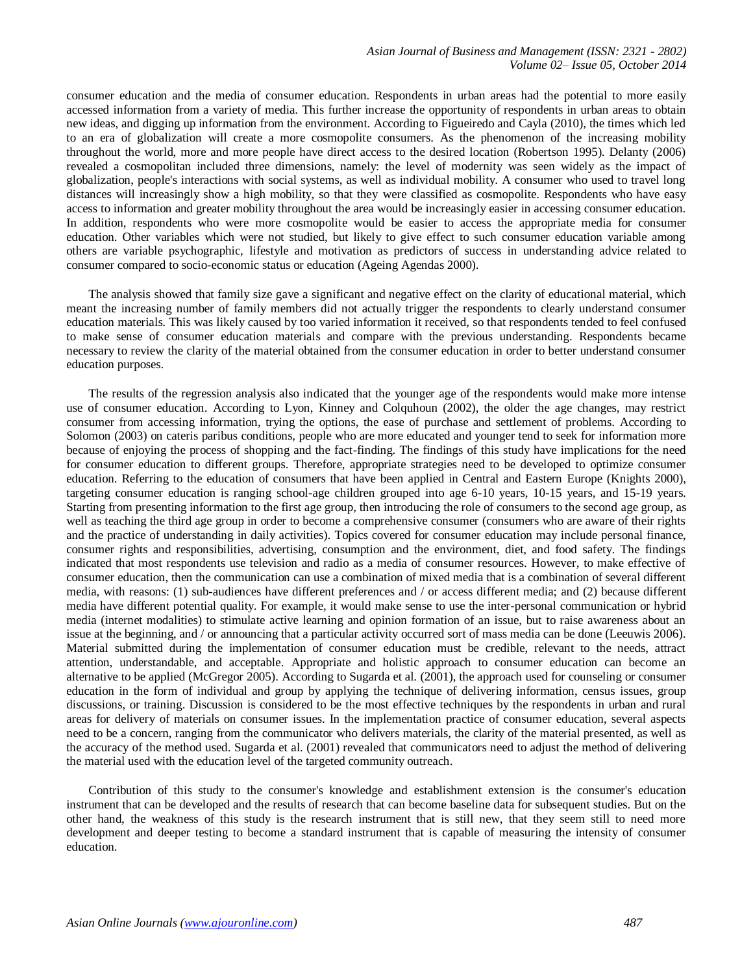consumer education and the media of consumer education. Respondents in urban areas had the potential to more easily accessed information from a variety of media. This further increase the opportunity of respondents in urban areas to obtain new ideas, and digging up information from the environment. According to Figueiredo and Cayla (2010), the times which led to an era of globalization will create a more cosmopolite consumers. As the phenomenon of the increasing mobility throughout the world, more and more people have direct access to the desired location (Robertson 1995). Delanty (2006) revealed a cosmopolitan included three dimensions, namely: the level of modernity was seen widely as the impact of globalization, people's interactions with social systems, as well as individual mobility. A consumer who used to travel long distances will increasingly show a high mobility, so that they were classified as cosmopolite. Respondents who have easy access to information and greater mobility throughout the area would be increasingly easier in accessing consumer education. In addition, respondents who were more cosmopolite would be easier to access the appropriate media for consumer education. Other variables which were not studied, but likely to give effect to such consumer education variable among others are variable psychographic, lifestyle and motivation as predictors of success in understanding advice related to consumer compared to socio-economic status or education (Ageing Agendas 2000).

The analysis showed that family size gave a significant and negative effect on the clarity of educational material, which meant the increasing number of family members did not actually trigger the respondents to clearly understand consumer education materials. This was likely caused by too varied information it received, so that respondents tended to feel confused to make sense of consumer education materials and compare with the previous understanding. Respondents became necessary to review the clarity of the material obtained from the consumer education in order to better understand consumer education purposes.

The results of the regression analysis also indicated that the younger age of the respondents would make more intense use of consumer education. According to Lyon, Kinney and Colquhoun (2002), the older the age changes, may restrict consumer from accessing information, trying the options, the ease of purchase and settlement of problems. According to Solomon (2003) on cateris paribus conditions, people who are more educated and younger tend to seek for information more because of enjoying the process of shopping and the fact-finding. The findings of this study have implications for the need for consumer education to different groups. Therefore, appropriate strategies need to be developed to optimize consumer education. Referring to the education of consumers that have been applied in Central and Eastern Europe (Knights 2000), targeting consumer education is ranging school-age children grouped into age 6-10 years, 10-15 years, and 15-19 years. Starting from presenting information to the first age group, then introducing the role of consumers to the second age group, as well as teaching the third age group in order to become a comprehensive consumer (consumers who are aware of their rights and the practice of understanding in daily activities). Topics covered for consumer education may include personal finance, consumer rights and responsibilities, advertising, consumption and the environment, diet, and food safety. The findings indicated that most respondents use television and radio as a media of consumer resources. However, to make effective of consumer education, then the communication can use a combination of mixed media that is a combination of several different media, with reasons: (1) sub-audiences have different preferences and / or access different media; and (2) because different media have different potential quality. For example, it would make sense to use the inter-personal communication or hybrid media (internet modalities) to stimulate active learning and opinion formation of an issue, but to raise awareness about an issue at the beginning, and / or announcing that a particular activity occurred sort of mass media can be done (Leeuwis 2006). Material submitted during the implementation of consumer education must be credible, relevant to the needs, attract attention, understandable, and acceptable. Appropriate and holistic approach to consumer education can become an alternative to be applied (McGregor 2005). According to Sugarda et al. (2001), the approach used for counseling or consumer education in the form of individual and group by applying the technique of delivering information, census issues, group discussions, or training. Discussion is considered to be the most effective techniques by the respondents in urban and rural areas for delivery of materials on consumer issues. In the implementation practice of consumer education, several aspects need to be a concern, ranging from the communicator who delivers materials, the clarity of the material presented, as well as the accuracy of the method used. Sugarda et al. (2001) revealed that communicators need to adjust the method of delivering the material used with the education level of the targeted community outreach.

Contribution of this study to the consumer's knowledge and establishment extension is the consumer's education instrument that can be developed and the results of research that can become baseline data for subsequent studies. But on the other hand, the weakness of this study is the research instrument that is still new, that they seem still to need more development and deeper testing to become a standard instrument that is capable of measuring the intensity of consumer education.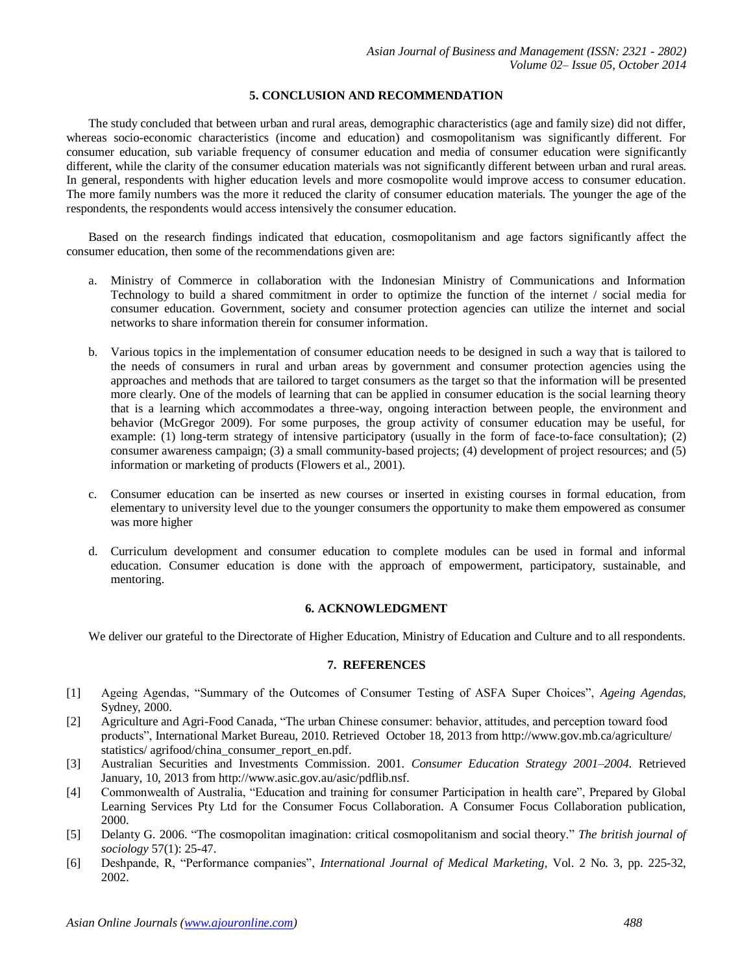# **5. CONCLUSION AND RECOMMENDATION**

The study concluded that between urban and rural areas, demographic characteristics (age and family size) did not differ, whereas socio-economic characteristics (income and education) and cosmopolitanism was significantly different. For consumer education, sub variable frequency of consumer education and media of consumer education were significantly different, while the clarity of the consumer education materials was not significantly different between urban and rural areas. In general, respondents with higher education levels and more cosmopolite would improve access to consumer education. The more family numbers was the more it reduced the clarity of consumer education materials. The younger the age of the respondents, the respondents would access intensively the consumer education.

Based on the research findings indicated that education, cosmopolitanism and age factors significantly affect the consumer education, then some of the recommendations given are:

- a. Ministry of Commerce in collaboration with the Indonesian Ministry of Communications and Information Technology to build a shared commitment in order to optimize the function of the internet / social media for consumer education. Government, society and consumer protection agencies can utilize the internet and social networks to share information therein for consumer information.
- b. Various topics in the implementation of consumer education needs to be designed in such a way that is tailored to the needs of consumers in rural and urban areas by government and consumer protection agencies using the approaches and methods that are tailored to target consumers as the target so that the information will be presented more clearly. One of the models of learning that can be applied in consumer education is the social learning theory that is a learning which accommodates a three-way, ongoing interaction between people, the environment and behavior (McGregor 2009). For some purposes, the group activity of consumer education may be useful, for example: (1) long-term strategy of intensive participatory (usually in the form of face-to-face consultation); (2) consumer awareness campaign; (3) a small community-based projects; (4) development of project resources; and (5) information or marketing of products (Flowers et al., 2001).
- c. Consumer education can be inserted as new courses or inserted in existing courses in formal education, from elementary to university level due to the younger consumers the opportunity to make them empowered as consumer was more higher
- d. Curriculum development and consumer education to complete modules can be used in formal and informal education. Consumer education is done with the approach of empowerment, participatory, sustainable, and mentoring.

# **6. ACKNOWLEDGMENT**

We deliver our grateful to the Directorate of Higher Education, Ministry of Education and Culture and to all respondents.

# **7. REFERENCES**

- [1] Ageing Agendas, "Summary of the Outcomes of Consumer Testing of ASFA Super Choices", *Ageing Agendas*, Sydney, 2000.
- [2] Agriculture and Agri-Food Canada, "The urban Chinese consumer: behavior, attitudes, and perception toward food products", International Market Bureau, 2010. Retrieved October 18, 2013 from [http://www.gov.mb.ca/agriculture/](http://www.gov.mb.ca/agriculture/%20statistics/%20agrifood/china_consumer_report_en.pdf)  [statistics/ agrifood/china\\_consumer\\_report\\_en.pdf.](http://www.gov.mb.ca/agriculture/%20statistics/%20agrifood/china_consumer_report_en.pdf)
- [3] Australian Securities and Investments Commission. 2001. *Consumer Education Strategy 2001–2004*. Retrieved January, 10, 2013 from [http://www.asic.gov.au/asic/pdflib.nsf.](http://www.asic.gov.au/asic/pdflib.nsf)
- [4] Commonwealth of Australia, "Education and training for consumer Participation in health care", Prepared by Global Learning Services Pty Ltd for the Consumer Focus Collaboration. A Consumer Focus Collaboration publication, 2000.
- [5] Delanty G. 2006. "The cosmopolitan imagination: critical cosmopolitanism and social theory." *The british journal of sociology* 57(1): 25-47.
- [6] Deshpande, R, "Performance companies", *International Journal of Medical Marketing*, Vol. 2 No. 3, pp. 225-32, 2002.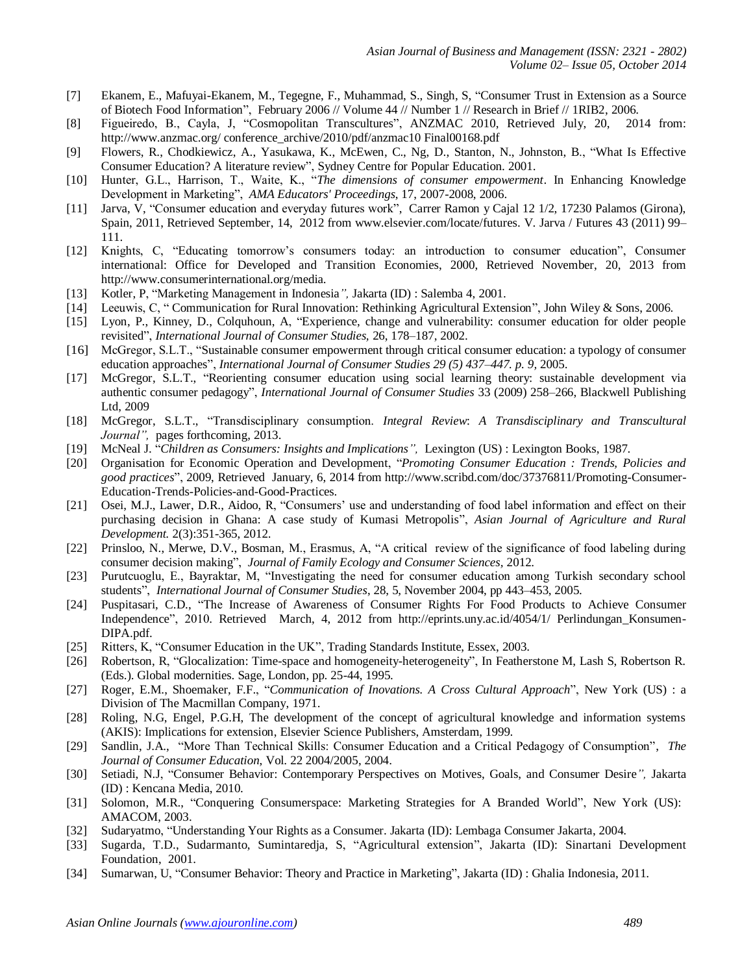- [7] Ekanem, E., Mafuyai-Ekanem, M., Tegegne, F., Muhammad, S., Singh, S, "Consumer Trust in Extension as a Source of Biotech Food Information", February 2006 // Volume 44 // Number 1 // Research in Brief // 1RIB2, 2006.
- [8] Figueiredo, B., Cayla, J, "Cosmopolitan Transcultures", ANZMAC 2010, Retrieved July, 20, 2014 from: [http://www.anzmac.org/ conference\\_archive/2010/pdf/anzmac10 Final00168.pdf](http://www.anzmac.org/%20conference_archive/2010/pdf/anzmac10%20Final00168.pdf)
- [9] Flowers, R., Chodkiewicz, A., Yasukawa, K., McEwen, C., Ng, D., Stanton, N., Johnston, B., "What Is Effective Consumer Education? A literature review", Sydney Centre for Popular Education. 2001.
- [10] Hunter, G.L., Harrison, T., Waite, K., "*The dimensions of consumer empowerment*. In Enhancing Knowledge Development in Marketing", *AMA Educators' Proceedings*, 17, 2007-2008, 2006.
- [11] Jarva, V, "Consumer education and everyday futures work", Carrer Ramon y Cajal 12 1/2, 17230 Palamos (Girona), Spain, 2011, Retrieved September, 14, 2012 from [www.elsevier.com/locate/futures.](http://www.elsevier.com/locate/futures) V. Jarva / Futures 43 (2011) 99– 111.
- [12] Knights, C, "Educating tomorrow's consumers today: an introduction to consumer education", Consumer international: Office for Developed and Transition Economies, 2000, Retrieved November, 20, 2013 from <http://www.consumerinternational.org/>media.
- [13] Kotler, P, "Marketing Management in Indonesia*",* Jakarta (ID) : Salemba 4, 2001.
- [14] Leeuwis, C, " Communication for Rural Innovation: Rethinking Agricultural Extension", John Wiley & Sons, 2006.
- [15] Lyon, P., Kinney, D., Colquhoun, A, "Experience, change and vulnerability: consumer education for older people revisited", *International Journal of Consumer Studies,* 26, 178–187, 2002.
- [16] McGregor, S.L.T., "Sustainable consumer empowerment through critical consumer education: a typology of consumer education approaches", *International Journal of Consumer Studies 29 (5) 437–447. p. 9,* 2005.
- [17] McGregor, S.L.T., "Reorienting consumer education using social learning theory: sustainable development via authentic consumer pedagogy", *International Journal of Consumer Studies* 33 (2009) 258–266, Blackwell Publishing Ltd, 2009
- [18] McGregor, S.L.T., "Transdisciplinary consumption. *Integral Review*: *A Transdisciplinary and Transcultural Journal",* pages forthcoming, 2013.
- [19] McNeal J. "*Children as Consumers: Insights and Implications",* Lexington (US) : Lexington Books, 1987.
- [20] Organisation for Economic Operation and Development, "*Promoting Consumer Education : Trends, Policies and good practices*", 2009, Retrieved January, 6, 2014 from [http://www.scribd.com/doc/37376811/Promoting-Consumer-](http://www.scribd.com/doc/37376811/Promoting-Consumer-Education-Trends-Policies-and-Good-Practices)[Education-Trends-Policies-and-Good-Practices.](http://www.scribd.com/doc/37376811/Promoting-Consumer-Education-Trends-Policies-and-Good-Practices)
- [21] Osei, M.J., Lawer, D.R., Aidoo, R, "Consumers' use and understanding of food label information and effect on their purchasing decision in Ghana: A case study of Kumasi Metropolis", *Asian Journal of Agriculture and Rural Development.* 2(3):351-365, 2012.
- [22] Prinsloo, N., Merwe, D.V., Bosman, M., Erasmus, A, "A critical review of the significance of food labeling during consumer decision making", *Journal of Family Ecology and Consumer Sciences,* 2012.
- [23] Purutcuoglu, E., Bayraktar, M, "Investigating the need for consumer education among Turkish secondary school students", *International Journal of Consumer Studies*, 28, 5, November 2004, pp 443–453, 2005.
- [24] Puspitasari, C.D., "The Increase of Awareness of Consumer Rights For Food Products to Achieve Consumer Independence", 2010. Retrieved March, 4, 2012 from [http://eprints.uny.ac.id/4054/1/ Perlindungan\\_Konsumen-](http://eprints.uny.ac.id/4054/1/%20Perlindungan_Konsumen-DIPA.pdf)[DIPA.pdf.](http://eprints.uny.ac.id/4054/1/%20Perlindungan_Konsumen-DIPA.pdf)
- [25] Ritters, K, "Consumer Education in the UK", Trading Standards Institute, Essex, 2003.
- [26] Robertson, R, "Glocalization: Time-space and homogeneity-heterogeneity", In Featherstone M, Lash S, Robertson R. (Eds.). Global modernities. Sage, London, pp. 25-44, 1995.
- [27] Roger, E.M., Shoemaker, F.F., "*Communication of Inovations. A Cross Cultural Approach*", New York (US) : a Division of The Macmillan Company, 1971.
- [28] Roling, N.G, Engel, P.G.H, The development of the concept of agricultural knowledge and information systems (AKIS): Implications for extension, Elsevier Science Publishers, Amsterdam, 1999.
- [29] Sandlin, J.A., "More Than Technical Skills: Consumer Education and a Critical Pedagogy of Consumption", *[The](http://www.cefe.illinois.edu/JCE/archives/2004_2005_vol_22/Sandlin%2020042005.pdf)  [Journal of Consumer Education](http://www.cefe.illinois.edu/JCE/archives/2004_2005_vol_22/Sandlin%2020042005.pdf)*, Vol. 22 2004/2005, 2004.
- [30] Setiadi, N.J, "Consumer Behavior: Contemporary Perspectives on Motives, Goals, and Consumer Desire*",* Jakarta (ID) : Kencana Media, 2010.
- [31] Solomon, M.R., "Conquering Consumerspace: Marketing Strategies for A Branded World", New York (US): AMACOM, 2003.
- [32] Sudaryatmo, "Understanding Your Rights as a Consumer. Jakarta (ID): Lembaga Consumer Jakarta, 2004.
- [33] Sugarda, T.D., Sudarmanto, Sumintaredja, S, "Agricultural extension", Jakarta (ID): Sinartani Development Foundation, 2001.
- [34] Sumarwan, U, "Consumer Behavior: Theory and Practice in Marketing", Jakarta (ID) : Ghalia Indonesia, 2011.